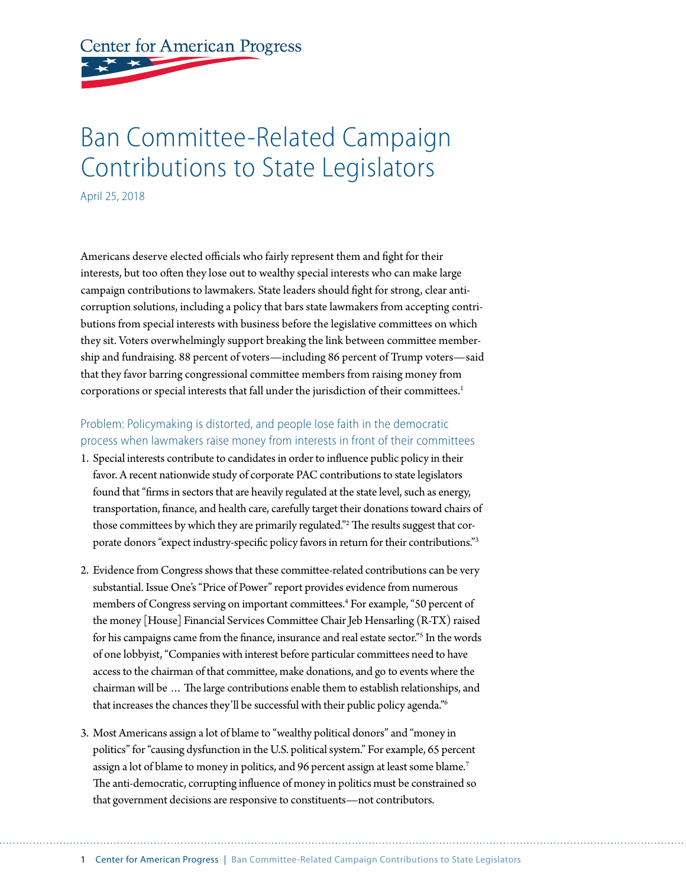**Center for American Progress** 

# Ban Committee-Related Campaign Contributions to State Legislators

April 25, 2018

Americans deserve elected officials who fairly represent them and fight for their interests, but too often they lose out to wealthy special interests who can make large campaign contributions to lawmakers. State leaders should fight for strong, clear anticorruption solutions, including a policy that bars state lawmakers from accepting contributions from special interests with business before the legislative committees on which they sit. Voters overwhelmingly support breaking the link between committee membership and fundraising. 88 percent of voters—including 86 percent of Trump voters—said that they favor barring congressional committee members from raising money from corporations or special interests that fall under the jurisdiction of their committees.<sup>1</sup>

### Problem: Policymaking is distorted, and people lose faith in the democratic process when lawmakers raise money from interests in front of their committees

- 1. Special interests contribute to candidates in order to influence public policy in their favor. A recent nationwide study of corporate PAC contributions to state legislators found that "firms in sectors that are heavily regulated at the state level, such as energy, transportation, finance, and health care, carefully target their donations toward chairs of those committees by which they are primarily regulated."<sup>2</sup> The results suggest that corporate donors "expect industry-specific policy favors in return for their contributions."3
- 2. Evidence from Congress shows that these committee-related contributions can be very substantial. Issue One's "Price of Power" report provides evidence from numerous members of Congress serving on important committees.4 For example, "50 percent of the money [House] Financial Services Committee Chair Jeb Hensarling (R-TX) raised for his campaigns came from the finance, insurance and real estate sector."5 In the words of one lobbyist, "Companies with interest before particular committees need to have access to the chairman of that committee, make donations, and go to events where the chairman will be … The large contributions enable them to establish relationships, and that increases the chances they'll be successful with their public policy agenda."6
- 3. Most Americans assign a lot of blame to "wealthy political donors" and "money in politics" for "causing dysfunction in the U.S. political system." For example, 65 percent assign a lot of blame to money in politics, and 96 percent assign at least some blame.<sup>7</sup> The anti-democratic, corrupting influence of money in politics must be constrained so that government decisions are responsive to constituents—not contributors.